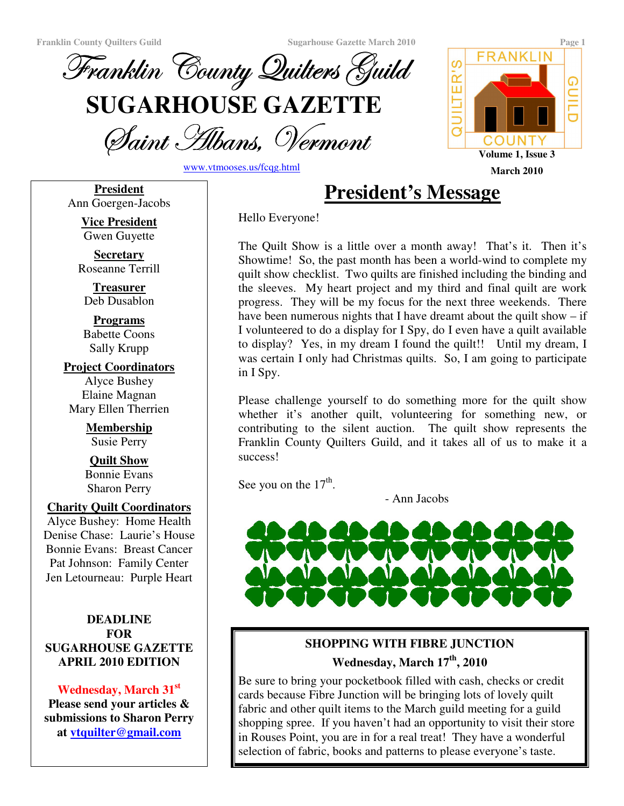

Saint Albans, Vermoni

www.vtmooses.us/fcqg.html

**President** Ann Goergen-Jacobs

FRANKLIN ၯ UILTER' ⋒ COUNTY **Volume 1, Issue 3 March 2010**

Hello Everyone!

The Quilt Show is a little over a month away! That's it. Then it's Showtime! So, the past month has been a world-wind to complete my quilt show checklist. Two quilts are finished including the binding and the sleeves. My heart project and my third and final quilt are work progress. They will be my focus for the next three weekends. There have been numerous nights that I have dreamt about the quilt show – if I volunteered to do a display for I Spy, do I even have a quilt available to display? Yes, in my dream I found the quilt!! Until my dream, I was certain I only had Christmas quilts. So, I am going to participate in I Spy.

**President's Message**

Please challenge yourself to do something more for the quilt show whether it's another quilt, volunteering for something new, or contributing to the silent auction. The quilt show represents the Franklin County Quilters Guild, and it takes all of us to make it a success!

See you on the  $17<sup>th</sup>$ .

- Ann Jacobs



# **SHOPPING WITH FIBRE JUNCTION Wednesday, March 17 th , 2010**

Be sure to bring your pocketbook filled with cash, checks or credit cards because Fibre Junction will be bringing lots of lovely quilt fabric and other quilt items to the March guild meeting for a guild shopping spree. If you haven't had an opportunity to visit their store in Rouses Point, you are in for a real treat! They have a wonderful selection of fabric, books and patterns to please everyone's taste.

**Vice President** Gwen Guyette

**Secretary** Roseanne Terrill

**Treasurer** Deb Dusablon

**Programs** Babette Coons Sally Krupp

**Project Coordinators** Alyce Bushey Elaine Magnan Mary Ellen Therrien

> **Membership** Susie Perry

> **Quilt Show** Bonnie Evans Sharon Perry

#### **Charity Quilt Coordinators**

Alyce Bushey: Home Health Denise Chase: Laurie's House Bonnie Evans: Breast Cancer Pat Johnson: Family Center Jen Letourneau: Purple Heart

#### **DEADLINE FOR SUGARHOUSE GAZETTE APRIL 2010 EDITION**

## **Wednesday, March 31 st**

**Please send your articles & submissions to Sharon Perry at vtquilter@gmail.com**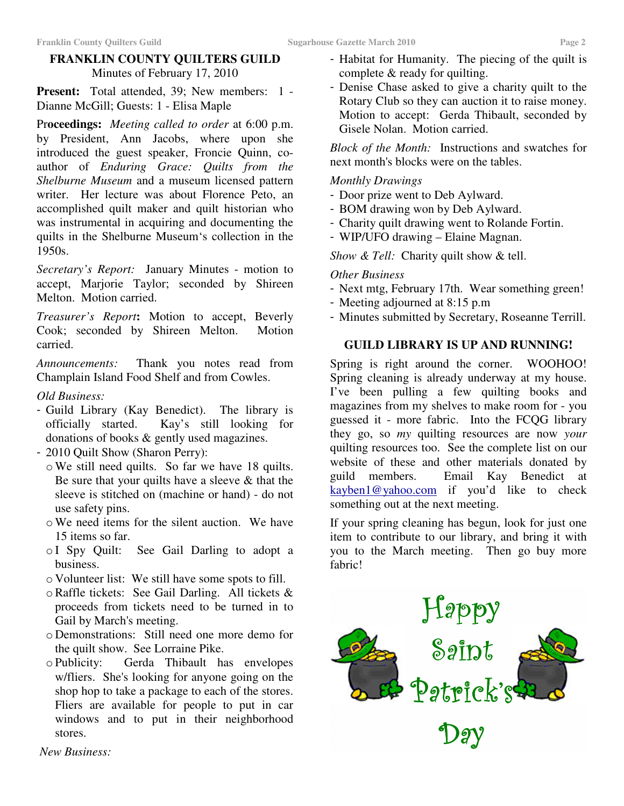# **FRANKLIN COUNTY QUILTERS GUILD** Minutes of February 17, 2010

**Present:** Total attended, 39; New members: 1 - Dianne McGill; Guests: 1 - Elisa Maple

Pr**oceedings:** *Meeting called to order* at 6:00 p.m. by President, Ann Jacobs, where upon she introduced the guest speaker, Froncie Quinn, coauthor of *Enduring Grace: Quilts from the Shelburne Museum* and a museum licensed pattern writer. Her lecture was about Florence Peto, an accomplished quilt maker and quilt historian who was instrumental in acquiring and documenting the quilts in the Shelburne Museum's collection in the 1950s.

*Secretary's Report:* January Minutes - motion to accept, Marjorie Taylor; seconded by Shireen Melton. Motion carried.

*Treasurer's Report***:** Motion to accept, Beverly Cook; seconded by Shireen Melton. Motion carried.

*Announcements:* Thank you notes read from Champlain Island Food Shelf and from Cowles.

### *Old Business:*

- Guild Library (Kay Benedict). The library is officially started. Kay's still looking for donations of books & gently used magazines.
- 2010 Quilt Show (Sharon Perry):
- oWe still need quilts. So far we have 18 quilts. Be sure that your quilts have a sleeve  $&$  that the sleeve is stitched on (machine or hand) - do not use safety pins.
- oWe need items for the silent auction. We have 15 items so far.
- o I Spy Quilt: See Gail Darling to adopt a business.
- o Volunteer list: We still have some spots to fill.
- oRaffle tickets: See Gail Darling. All tickets & proceeds from tickets need to be turned in to Gail by March's meeting.
- o Demonstrations: Still need one more demo for the quilt show. See Lorraine Pike.
- o Publicity: Gerda Thibault has envelopes w/fliers. She's looking for anyone going on the shop hop to take a package to each of the stores. Fliers are available for people to put in car windows and to put in their neighborhood stores.
- Habitat for Humanity. The piecing of the quilt is complete & ready for quilting.
- Denise Chase asked to give a charity quilt to the Rotary Club so they can auction it to raise money. Motion to accept: Gerda Thibault, seconded by Gisele Nolan. Motion carried.

*Block of the Month:* Instructions and swatches for next month's blocks were on the tables.

#### *Monthly Drawings*

- Door prize went to Deb Aylward.
- BOM drawing won by Deb Aylward.
- Charity quilt drawing went to Rolande Fortin.
- WIP/UFO drawing Elaine Magnan.

*Show & Tell:* Charity quilt show & tell.

#### *Other Business*

- Next mtg, February 17th. Wear something green!
- Meeting adjourned at 8:15 p.m
- Minutes submitted by Secretary, Roseanne Terrill.

#### **GUILD LIBRARY IS UP AND RUNNING!**

Spring is right around the corner. WOOHOO! Spring cleaning is already underway at my house. I've been pulling a few quilting books and magazines from my shelves to make room for - you guessed it - more fabric. Into the FCQG library they go, so *my* quilting resources are now *your* quilting resources too. See the complete list on our website of these and other materials donated by guild members. Email Kay Benedict at kayben1@yahoo.com if you'd like to check something out at the next meeting.

If your spring cleaning has begun, look for just one item to contribute to our library, and bring it with you to the March meeting. Then go buy more fabric!



*New Business:*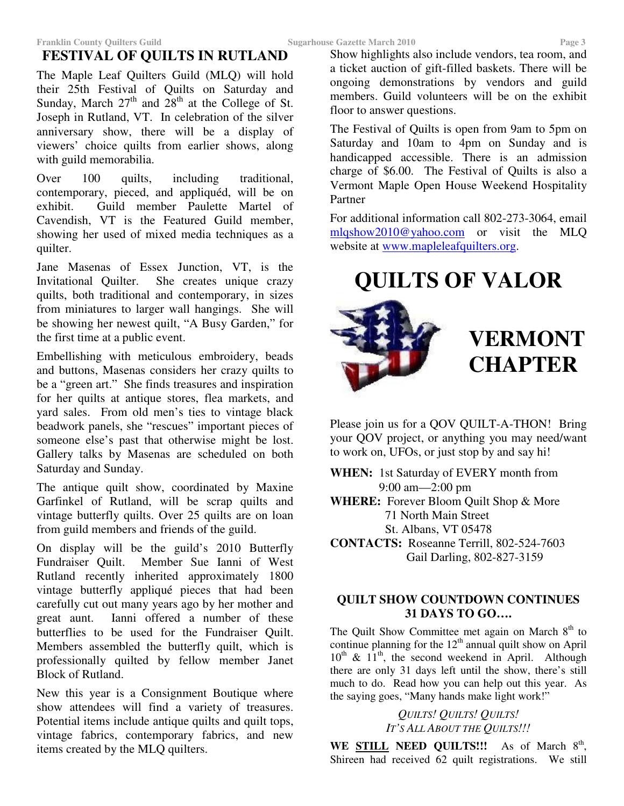# **FESTIVAL OF QUILTS IN RUTLAND**

The Maple Leaf Quilters Guild (MLQ) will hold their 25th Festival of Quilts on Saturday and Sunday, March  $27<sup>th</sup>$  and  $28<sup>th</sup>$  at the College of St. Joseph in Rutland, VT. In celebration of the silver anniversary show, there will be a display of viewers' choice quilts from earlier shows, along with guild memorabilia.

Over 100 quilts, including traditional, contemporary, pieced, and appliquéd, will be on exhibit. Guild member Paulette Martel of Cavendish, VT is the Featured Guild member, showing her used of mixed media techniques as a quilter.

Jane Masenas of Essex Junction, VT, is the Invitational Quilter. She creates unique crazy quilts, both traditional and contemporary, in sizes from miniatures to larger wall hangings. She will be showing her newest quilt, "A Busy Garden," for the first time at a public event.

Embellishing with meticulous embroidery, beads and buttons, Masenas considers her crazy quilts to be a "green art." She finds treasures and inspiration for her quilts at antique stores, flea markets, and yard sales. From old men's ties to vintage black beadwork panels, she "rescues" important pieces of someone else's past that otherwise might be lost. Gallery talks by Masenas are scheduled on both Saturday and Sunday.

The antique quilt show, coordinated by Maxine Garfinkel of Rutland, will be scrap quilts and vintage butterfly quilts. Over 25 quilts are on loan from guild members and friends of the guild.

On display will be the guild's 2010 Butterfly Fundraiser Quilt. Member Sue Ianni of West Rutland recently inherited approximately 1800 vintage butterfly appliqué pieces that had been carefully cut out many years ago by her mother and great aunt. Ianni offered a number of these butterflies to be used for the Fundraiser Quilt. Members assembled the butterfly quilt, which is professionally quilted by fellow member Janet Block of Rutland.

New this year is a Consignment Boutique where show attendees will find a variety of treasures. Potential items include antique quilts and quilt tops, vintage fabrics, contemporary fabrics, and new items created by the MLQ quilters.

Show highlights also include vendors, tea room, and a ticket auction of gift-filled baskets. There will be ongoing demonstrations by vendors and guild members. Guild volunteers will be on the exhibit floor to answer questions.

The Festival of Quilts is open from 9am to 5pm on Saturday and 10am to 4pm on Sunday and is handicapped accessible. There is an admission charge of \$6.00. The Festival of Quilts is also a Vermont Maple Open House Weekend Hospitality Partner

For additional information call 802-273-3064, email mlqshow2010@yahoo.com or visit the MLQ website at www.mapleleafquilters.org.

**QUILTS OF VALOR**

# **VERMONT CHAPTER**

Please join us for a QOV QUILT-A-THON! Bring your QOV project, or anything you may need/want to work on, UFOs, or just stop by and say hi!

**WHEN:** 1st Saturday of EVERY month from 9:00 am—2:00 pm **WHERE:** Forever Bloom Quilt Shop & More 71 North Main Street St. Albans, VT 05478 **CONTACTS:** Roseanne Terrill, 802-524-7603 Gail Darling, 802-827-3159

### **QUILT SHOW COUNTDOWN CONTINUES 31 DAYS TO GO….**

The Quilt Show Committee met again on March 8<sup>th</sup> to continue planning for the  $12<sup>th</sup>$  annual quilt show on April 10<sup>th</sup> & 11<sup>th</sup>, the second weekend in April. Although there are only 31 days left until the show, there's still much to do. Read how you can help out this year. As the saying goes, "Many hands make light work!"

> *QUILTS! QUILTS! QUILTS! IT'S ALL ABOUT THE QUILTS!!!*

WE **STILL NEED QUILTS!!!** As of March 8<sup>th</sup>, Shireen had received 62 quilt registrations. We still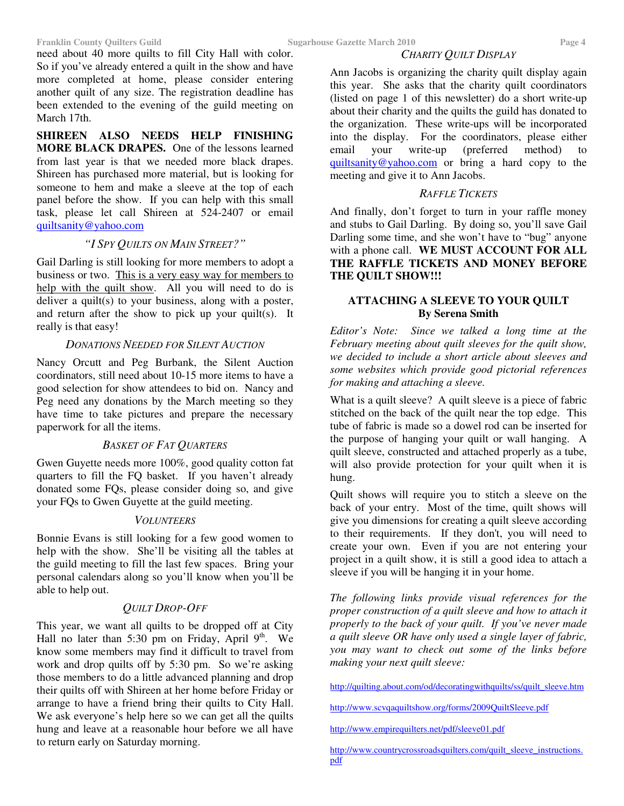need about 40 more quilts to fill City Hall with color. So if you've already entered a quilt in the show and have more completed at home, please consider entering another quilt of any size. The registration deadline has been extended to the evening of the guild meeting on March 17th.

**SHIREEN ALSO NEEDS HELP FINISHING MORE BLACK DRAPES.** One of the lessons learned from last year is that we needed more black drapes. Shireen has purchased more material, but is looking for someone to hem and make a sleeve at the top of each panel before the show. If you can help with this small task, please let call Shireen at 524-2407 or email quiltsanity@yahoo.com

#### *"I SPY QUILTS ON MAIN STREET?"*

Gail Darling is still looking for more members to adopt a business or two. This is a very easy way for members to help with the quilt show. All you will need to do is deliver a quilt(s) to your business, along with a poster, and return after the show to pick up your quilt(s). It really is that easy!

#### *DONATIONS NEEDED FOR SILENT AUCTION*

Nancy Orcutt and Peg Burbank, the Silent Auction coordinators, still need about 10-15 more items to have a good selection for show attendees to bid on. Nancy and Peg need any donations by the March meeting so they have time to take pictures and prepare the necessary paperwork for all the items.

#### *BASKET OF FAT QUARTERS*

Gwen Guyette needs more 100%, good quality cotton fat quarters to fill the FQ basket. If you haven't already donated some FQs, please consider doing so, and give your FQs to Gwen Guyette at the guild meeting.

#### *VOLUNTEERS*

Bonnie Evans is still looking for a few good women to help with the show. She'll be visiting all the tables at the guild meeting to fill the last few spaces. Bring your personal calendars along so you'll know when you'll be able to help out.

#### *QUILT DROP-OFF*

This year, we want all quilts to be dropped off at City Hall no later than 5:30 pm on Friday, April  $9<sup>th</sup>$ . We know some members may find it difficult to travel from work and drop quilts off by 5:30 pm. So we're asking those members to do a little advanced planning and drop their quilts off with Shireen at her home before Friday or arrange to have a friend bring their quilts to City Hall. We ask everyone's help here so we can get all the quilts hung and leave at a reasonable hour before we all have to return early on Saturday morning.

#### *CHARITY QUILT DISPLAY*

Ann Jacobs is organizing the charity quilt display again this year. She asks that the charity quilt coordinators (listed on page 1 of this newsletter) do a short write-up about their charity and the quilts the guild has donated to the organization. These write-ups will be incorporated into the display. For the coordinators, please either email your write-up (preferred method) to quiltsanity@yahoo.com or bring a hard copy to the meeting and give it to Ann Jacobs.

#### *RAFFLE TICKETS*

And finally, don't forget to turn in your raffle money and stubs to Gail Darling. By doing so, you'll save Gail Darling some time, and she won't have to "bug" anyone with a phone call. **WE MUST ACCOUNT FOR ALL THE RAFFLE TICKETS AND MONEY BEFORE THE QUILT SHOW!!!**

#### **ATTACHING A SLEEVE TO YOUR QUILT By Serena Smith**

*Editor's Note: Since we talked a long time at the February meeting about quilt sleeves for the quilt show, we decided to include a short article about sleeves and some websites which provide good pictorial references for making and attaching a sleeve.*

What is a quilt sleeve? A quilt sleeve is a piece of fabric stitched on the back of the quilt near the top edge. This tube of fabric is made so a dowel rod can be inserted for the purpose of hanging your quilt or wall hanging. A quilt sleeve, constructed and attached properly as a tube, will also provide protection for your quilt when it is hung.

Quilt shows will require you to stitch a sleeve on the back of your entry. Most of the time, quilt shows will give you dimensions for creating a quilt sleeve according to their requirements. If they don't, you will need to create your own. Even if you are not entering your project in a quilt show, it is still a good idea to attach a sleeve if you will be hanging it in your home.

*The following links provide visual references for the proper construction of a quilt sleeve and how to attach it properly to the back of your quilt. If you've never made a quilt sleeve OR have only used a single layer of fabric, you may want to check out some of the links before making your next quilt sleeve:*

http://quilting.about.com/od/decoratingwithquilts/ss/quilt\_sleeve.htm

http://www.scvqaquiltshow.org/forms/2009QuiltSleeve.pdf

http://www.empirequilters.net/pdf/sleeve01.pdf

http://www.countrycrossroadsquilters.com/quilt\_sleeve\_instructions. pdf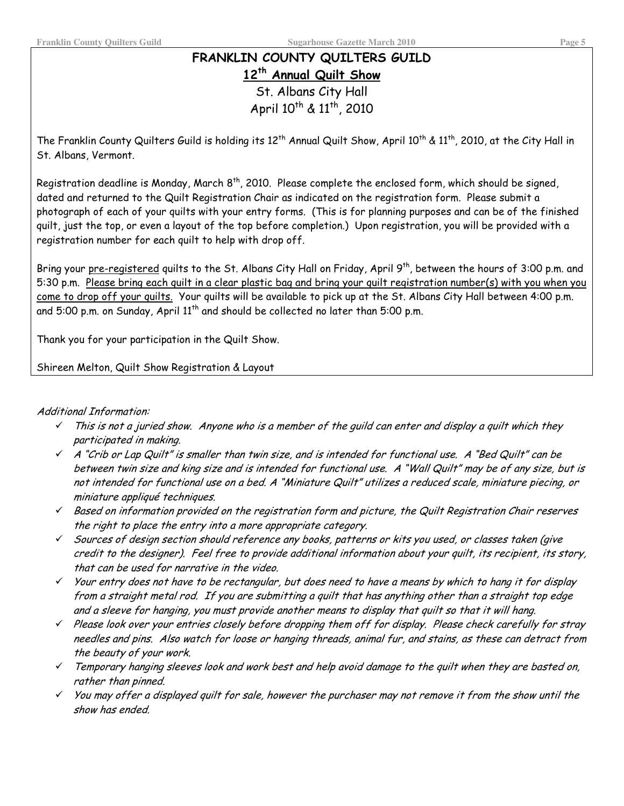# FRANKLIN COUNTY QUILTERS GUILD 12<sup>th</sup> Annual Quilt Show St. Albans City Hall

April 10<sup>th</sup> & 11<sup>th</sup>, 2010

The Franklin County Quilters Guild is holding its  $12^{\text{th}}$  Annual Quilt Show, April  $10^{\text{th}}$  &  $11^{\text{th}}$ , 2010, at the City Hall in St. Albans, Vermont.

Registration deadline is Monday, March 8<sup>th</sup>, 2010. Please complete the enclosed form, which should be signed, dated and returned to the Quilt Registration Chair as indicated on the registration form. Please submit a photograph of each of your quilts with your entry forms. (This is for planning purposes and can be of the finished quilt, just the top, or even a layout of the top before completion.) Upon registration, you will be provided with a registration number for each quilt to help with drop off.

Bring your pre-registered quilts to the St. Albans City Hall on Friday, April 9<sup>th</sup>, between the hours of 3:00 p.m. and 5:30 p.m. Please bring each quilt in a clear plastic bag and bring your quilt registration number(s) with you when you come to drop off your quilts. Your quilts will be available to pick up at the St. Albans City Hall between 4:00 p.m. and 5:00 p.m. on Sunday, April 11<sup>th</sup> and should be collected no later than 5:00 p.m.

Thank you for your participation in the Quilt Show.

Shireen Melton, Quilt Show Registration & Layout

#### Additional Information:

- This is not a juried show. Anyone who is a member of the quild can enter and display a quilt which they  $\checkmark$ participated in making.
- $\checkmark$  A "Crib or Lap Quilt" is smaller than twin size, and is intended for functional use, A "Bed Quilt" can be between twin size and king size and is intended for functional use. A "Wall Quilt" may be of any size, but is not intended for functional use on a bed. A "Miniature Quilt" utilizes a reduced scale, miniature piecing, or miniature appliqué techniques.
- $\checkmark$  Based on information provided on the registration form and picture, the Quilt Registration Chair reserves the right to place the entry into a more appropriate category.
- $\checkmark$  Sources of design section should reference any books, patterns or kits you used, or classes taken (give credit to the designer). Feel free to provide additional information about your quilt, its recipient, its story, that can be used for narrative in the video.
- $\checkmark$  Your entry does not have to be rectangular, but does need to have a means by which to hang it for display from a straight metal rod. If you are submitting a quilt that has anything other than a straight top edge and a sleeve for hanging, you must provide another means to display that quilt so that it will hang.
- $\checkmark$  Please look over your entries closely before dropping them off for display. Please check carefully for stray needles and pins. Also watch for loose or hanging threads, animal fur, and stains, as these can detract from the beauty of your work.
- $\checkmark$  Temporary hanging sleeves look and work best and help avoid damage to the quilt when they are basted on, rather than pinned.
- $\checkmark$  You may offer a displayed quilt for sale, however the purchaser may not remove it from the show until the show has ended.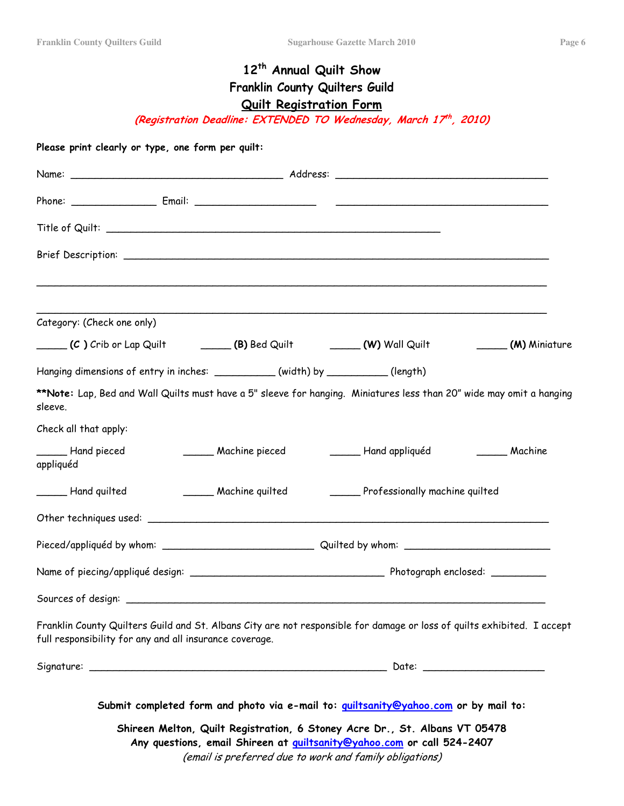# 12<sup>th</sup> Annual Quilt Show Franklin County Quilters Guild **Quilt Registration Form**

(Registration Deadline: EXTENDED TO Wednesday, March 17th, 2010)

| Category: (Check one only)                                                                                                                                                         |                                                |
|------------------------------------------------------------------------------------------------------------------------------------------------------------------------------------|------------------------------------------------|
| (C) Crib or Lap Quilt (B) Bed Quilt (W) Wall Quilt                                                                                                                                 | (M) Miniature                                  |
| Hanging dimensions of entry in inches: ___________(width) by _________(length)                                                                                                     |                                                |
| **Note: Lap, Bed and Wall Quilts must have a 5" sleeve for hanging. Miniatures less than 20" wide may omit a hanging<br>sleeve.                                                    |                                                |
| Check all that apply:                                                                                                                                                              |                                                |
| Hand pieced<br>______ Machine pieced<br>appliquéd                                                                                                                                  | Hand appliquéd<br>Machine                      |
| Hand quilted                                                                                                                                                                       | Machine quilted Professionally machine quilted |
|                                                                                                                                                                                    |                                                |
|                                                                                                                                                                                    |                                                |
|                                                                                                                                                                                    |                                                |
|                                                                                                                                                                                    |                                                |
| Franklin County Quilters Guild and St. Albans City are not responsible for damage or loss of quilts exhibited. I accept<br>full responsibility for any and all insurance coverage. |                                                |
|                                                                                                                                                                                    |                                                |
| Submit completed form and photo via e-mail to: quiltsanity@yahoo.com or by mail to:                                                                                                |                                                |
| Shireen Melton, Quilt Registration, 6 Stoney Acre Dr., St. Albans VT 05478                                                                                                         |                                                |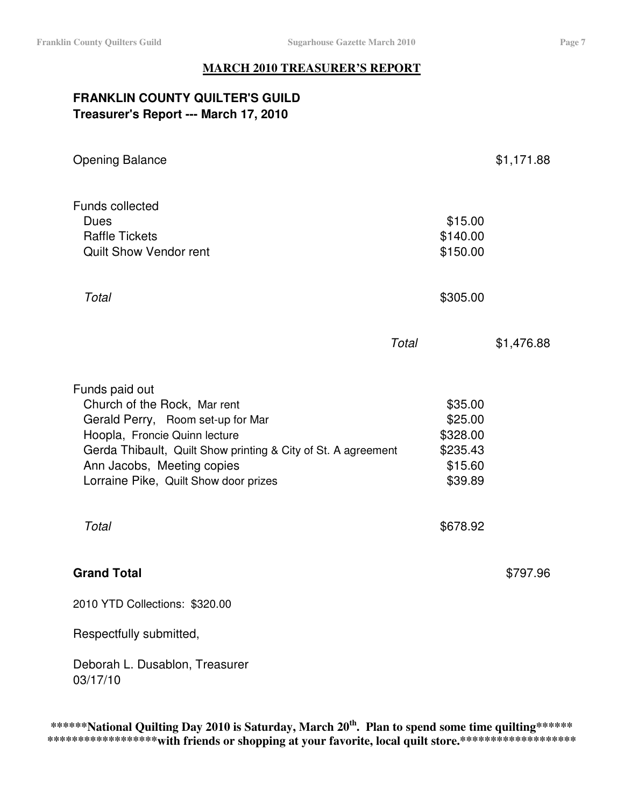### **MARCH 2010 TREASURER'S REPORT**

# **FRANKLIN COUNTY QUILTER'S GUILD Treasurer's Report --- March 17, 2010**

| <b>Opening Balance</b>                                                                                                                                                                                                                                                |       |                                                                              | \$1,171.88 |
|-----------------------------------------------------------------------------------------------------------------------------------------------------------------------------------------------------------------------------------------------------------------------|-------|------------------------------------------------------------------------------|------------|
| <b>Funds collected</b><br><b>Dues</b><br><b>Raffle Tickets</b><br><b>Quilt Show Vendor rent</b>                                                                                                                                                                       |       | \$15.00<br>\$140.00<br>\$150.00                                              |            |
| Total                                                                                                                                                                                                                                                                 |       | \$305.00                                                                     |            |
|                                                                                                                                                                                                                                                                       | Total |                                                                              | \$1,476.88 |
| Funds paid out<br>Church of the Rock, Mar rent<br>Gerald Perry, Room set-up for Mar<br>Hoopla, Froncie Quinn lecture<br>Gerda Thibault, Quilt Show printing & City of St. A agreement<br>Ann Jacobs, Meeting copies<br>Lorraine Pike, Quilt Show door prizes<br>Total |       | \$35.00<br>\$25.00<br>\$328.00<br>\$235.43<br>\$15.60<br>\$39.89<br>\$678.92 |            |
| <b>Grand Total</b>                                                                                                                                                                                                                                                    |       |                                                                              | \$797.96   |
| 2010 YTD Collections: \$320.00                                                                                                                                                                                                                                        |       |                                                                              |            |
| Respectfully submitted,                                                                                                                                                                                                                                               |       |                                                                              |            |
| Deborah L. Dusablon, Treasurer<br>03/17/10                                                                                                                                                                                                                            |       |                                                                              |            |

**\*\*\*\*\*\*National Quilting Day 2010 is Saturday, March 20 th . Plan to spend some time quilting\*\*\*\*\*\* \*\*\*\*\*\*\*\*\*\*\*\*\*\*\*\*\*\*with friends or shopping at your favorite, local quilt store.\*\*\*\*\*\*\*\*\*\*\*\*\*\*\*\*\*\*\***